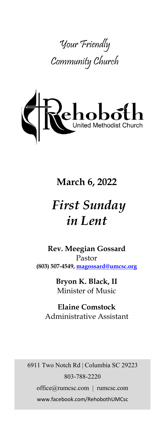



# **March 6, 2022**

# *First Sunday in Lent*

**Rev. Meegian Gossard** Pastor **(803) 507-4549, magossard@umcsc.org**

> **Bryon K. Black, II** Minister of Music

**Elaine Comstock** Administrative Assistant

6911 Two Notch Rd | Columbia SC 29223 803-788-2220 office@rumcsc.com | rumcsc.com www.facebook.com/RehobothUMCsc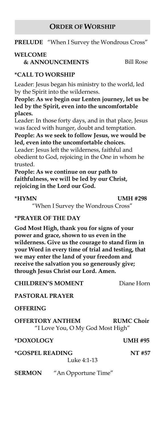#### **ORDER OF WORSHIP**

**PRELUDE** "When I Survey the Wondrous Cross"

### **WELCOME**

**& ANNOUNCEMENTS** Bill Rose

### **\*CALL TO WORSHIP**

Leader: Jesus began his ministry to the world, led by the Spirit into the wilderness.

**People: As we begin our Lenten journey, let us be led by the Spirit, even into the uncomfortable places.**

Leader: In those forty days, and in that place, Jesus was faced with hunger, doubt and temptation.

**People: As we seek to follow Jesus, we would be led, even into the uncomfortable choices.**

Leader: Jesus left the wilderness, faithful and obedient to God, rejoicing in the One in whom he trusted.

**People: As we continue on our path to faithfulness, we will be led by our Christ, rejoicing in the Lord our God.**

**\*HYMN UMH #298**

"When I Survey the Wondrous Cross"

#### **\*PRAYER OF THE DAY**

**God Most High, thank you for signs of your power and grace, shown to us even in the wilderness. Give us the courage to stand firm in your Word in every time of trial and testing, that we may enter the land of your freedom and receive the salvation you so generously give; through Jesus Christ our Lord. Amen.**

**CHILDREN'S MOMENT** Diane Horn

#### **PASTORAL PRAYER**

**OFFERING**

**OFFERTORY ANTHEM RUMC Choir**  "I Love You, O My God Most High"

### **\*DOXOLOGY UMH #95**

**\*GOSPEL READING NT #57**

Luke 4:1-13

**SERMON** "An Opportune Time"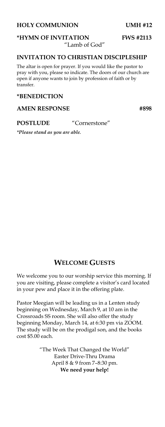#### **HOLY COMMUNION UMH #12**

**\*HYMN OF INVITATION FWS #2113** 

"Lamb of God"

#### **INVITATION TO CHRISTIAN DISCIPLESHIP**

The altar is open for prayer. If you would like the pastor to pray with you, please so indicate. The doors of our church are open if anyone wants to join by profession of faith or by transfer.

#### **\*BENEDICTION**

#### AMEN RESPONSE #898

#### **POSTLUDE** "Cornerstone"

*\*Please stand as you are able.*

#### **WELCOME GUESTS**

We welcome you to our worship service this morning. If you are visiting, please complete a visitor's card located in your pew and place it in the offering plate.

Pastor Meegian will be leading us in a Lenten study beginning on Wednesday, March 9, at 10 am in the Crossroads SS room. She will also offer the study beginning Monday, March 14, at 6:30 pm via ZOOM. The study will be on the prodigal son, and the books cost \$5.00 each.

> "The Week That Changed the World" Easter Drive-Thru Drama April 8 & 9 from 7–8:30 pm. **We need your help!**